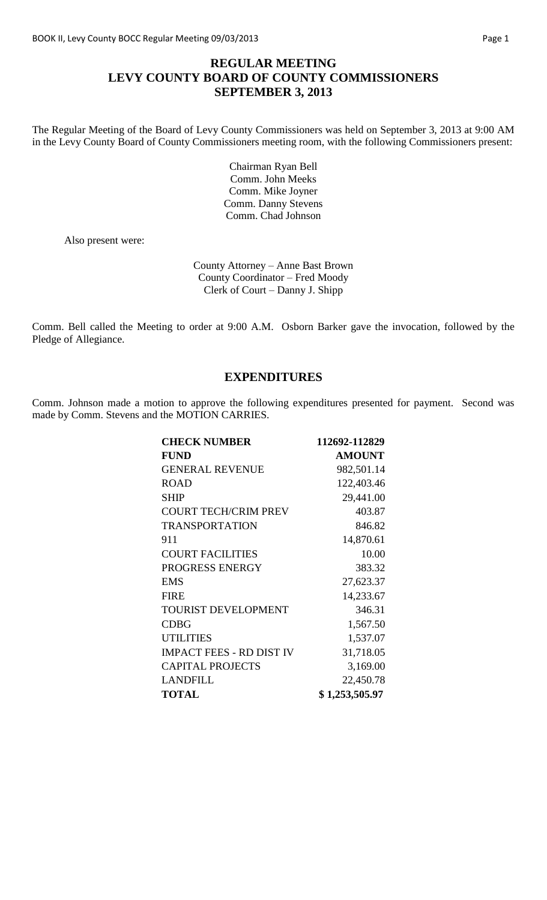# **REGULAR MEETING LEVY COUNTY BOARD OF COUNTY COMMISSIONERS SEPTEMBER 3, 2013**

The Regular Meeting of the Board of Levy County Commissioners was held on September 3, 2013 at 9:00 AM in the Levy County Board of County Commissioners meeting room, with the following Commissioners present:

> Chairman Ryan Bell Comm. John Meeks Comm. Mike Joyner Comm. Danny Stevens Comm. Chad Johnson

Also present were:

County Attorney – Anne Bast Brown County Coordinator – Fred Moody Clerk of Court – Danny J. Shipp

Comm. Bell called the Meeting to order at 9:00 A.M. Osborn Barker gave the invocation, followed by the Pledge of Allegiance.

# **EXPENDITURES**

Comm. Johnson made a motion to approve the following expenditures presented for payment. Second was made by Comm. Stevens and the MOTION CARRIES.

| <b>CHECK NUMBER</b>             | 112692-112829  |
|---------------------------------|----------------|
| <b>FUND</b>                     | <b>AMOUNT</b>  |
| <b>GENERAL REVENUE</b>          | 982,501.14     |
| <b>ROAD</b>                     | 122,403.46     |
| <b>SHIP</b>                     | 29,441.00      |
| <b>COURT TECH/CRIM PREV</b>     | 403.87         |
| <b>TRANSPORTATION</b>           | 846.82         |
| 911                             | 14,870.61      |
| <b>COURT FACILITIES</b>         | 10.00          |
| PROGRESS ENERGY                 | 383.32         |
| <b>EMS</b>                      | 27,623.37      |
| <b>FIRE</b>                     | 14,233.67      |
| <b>TOURIST DEVELOPMENT</b>      | 346.31         |
| <b>CDBG</b>                     | 1,567.50       |
| <b>UTILITIES</b>                | 1,537.07       |
| <b>IMPACT FEES - RD DIST IV</b> | 31,718.05      |
| <b>CAPITAL PROJECTS</b>         | 3,169.00       |
| <b>LANDFILL</b>                 | 22,450.78      |
| <b>TOTAL</b>                    | \$1,253,505.97 |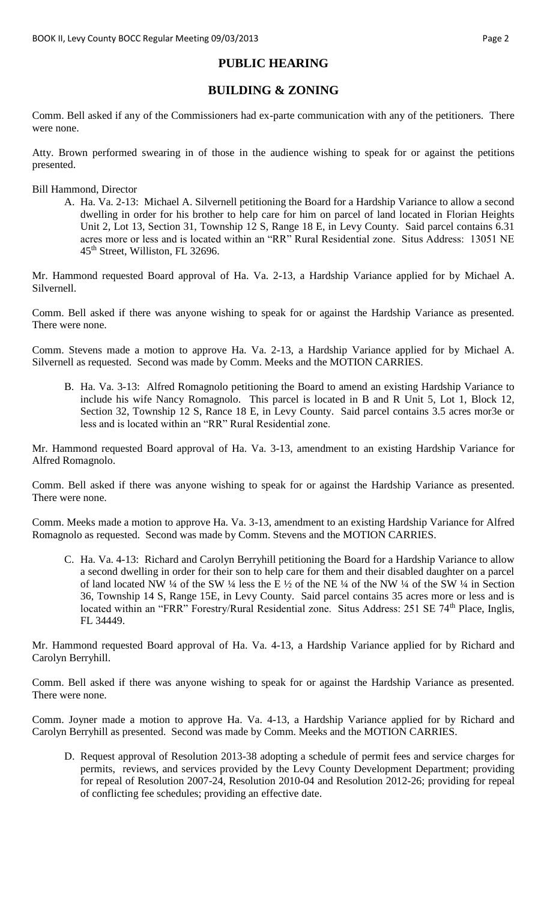# **PUBLIC HEARING**

# **BUILDING & ZONING**

Comm. Bell asked if any of the Commissioners had ex-parte communication with any of the petitioners. There were none.

Atty. Brown performed swearing in of those in the audience wishing to speak for or against the petitions presented.

Bill Hammond, Director

A. Ha. Va. 2-13: Michael A. Silvernell petitioning the Board for a Hardship Variance to allow a second dwelling in order for his brother to help care for him on parcel of land located in Florian Heights Unit 2, Lot 13, Section 31, Township 12 S, Range 18 E, in Levy County. Said parcel contains 6.31 acres more or less and is located within an "RR" Rural Residential zone. Situs Address: 13051 NE 45th Street, Williston, FL 32696.

Mr. Hammond requested Board approval of Ha. Va. 2-13, a Hardship Variance applied for by Michael A. Silvernell.

Comm. Bell asked if there was anyone wishing to speak for or against the Hardship Variance as presented. There were none.

Comm. Stevens made a motion to approve Ha. Va. 2-13, a Hardship Variance applied for by Michael A. Silvernell as requested. Second was made by Comm. Meeks and the MOTION CARRIES.

B. Ha. Va. 3-13: Alfred Romagnolo petitioning the Board to amend an existing Hardship Variance to include his wife Nancy Romagnolo. This parcel is located in B and R Unit 5, Lot 1, Block 12, Section 32, Township 12 S, Rance 18 E, in Levy County. Said parcel contains 3.5 acres mor3e or less and is located within an "RR" Rural Residential zone.

Mr. Hammond requested Board approval of Ha. Va. 3-13, amendment to an existing Hardship Variance for Alfred Romagnolo.

Comm. Bell asked if there was anyone wishing to speak for or against the Hardship Variance as presented. There were none.

Comm. Meeks made a motion to approve Ha. Va. 3-13, amendment to an existing Hardship Variance for Alfred Romagnolo as requested. Second was made by Comm. Stevens and the MOTION CARRIES.

C. Ha. Va. 4-13: Richard and Carolyn Berryhill petitioning the Board for a Hardship Variance to allow a second dwelling in order for their son to help care for them and their disabled daughter on a parcel of land located NW  $\frac{1}{4}$  of the SW  $\frac{1}{4}$  less the E  $\frac{1}{2}$  of the NE  $\frac{1}{4}$  of the NW  $\frac{1}{4}$  of the SW  $\frac{1}{4}$  in Section 36, Township 14 S, Range 15E, in Levy County. Said parcel contains 35 acres more or less and is located within an "FRR" Forestry/Rural Residential zone. Situs Address: 251 SE 74<sup>th</sup> Place, Inglis, FL 34449.

Mr. Hammond requested Board approval of Ha. Va. 4-13, a Hardship Variance applied for by Richard and Carolyn Berryhill.

Comm. Bell asked if there was anyone wishing to speak for or against the Hardship Variance as presented. There were none.

Comm. Joyner made a motion to approve Ha. Va. 4-13, a Hardship Variance applied for by Richard and Carolyn Berryhill as presented. Second was made by Comm. Meeks and the MOTION CARRIES.

D. Request approval of Resolution 2013-38 adopting a schedule of permit fees and service charges for permits, reviews, and services provided by the Levy County Development Department; providing for repeal of Resolution 2007-24, Resolution 2010-04 and Resolution 2012-26; providing for repeal of conflicting fee schedules; providing an effective date.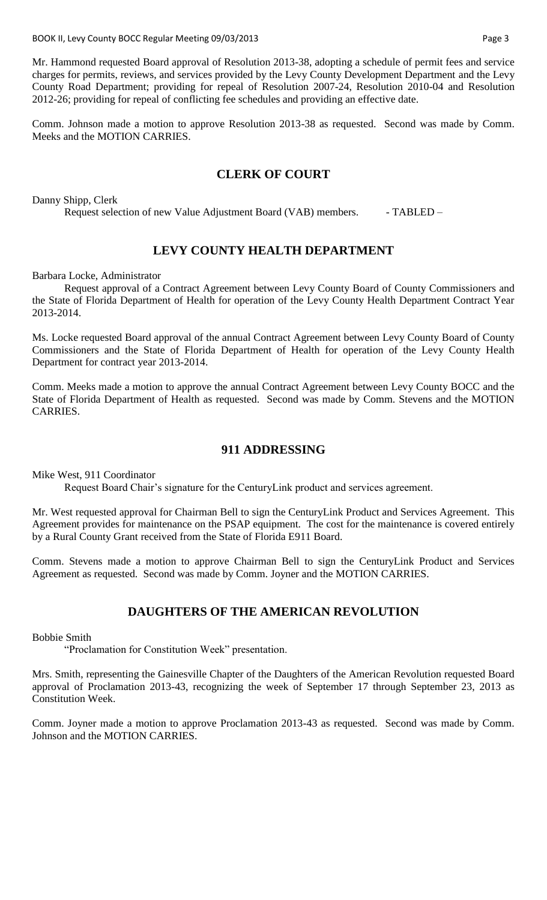BOOK II, Levy County BOCC Regular Meeting 09/03/2013 **Page 3** 2014

Mr. Hammond requested Board approval of Resolution 2013-38, adopting a schedule of permit fees and service charges for permits, reviews, and services provided by the Levy County Development Department and the Levy County Road Department; providing for repeal of Resolution 2007-24, Resolution 2010-04 and Resolution 2012-26; providing for repeal of conflicting fee schedules and providing an effective date.

Comm. Johnson made a motion to approve Resolution 2013-38 as requested. Second was made by Comm. Meeks and the MOTION CARRIES.

# **CLERK OF COURT**

Danny Shipp, Clerk

Request selection of new Value Adjustment Board (VAB) members. - TABLED –

# **LEVY COUNTY HEALTH DEPARTMENT**

Barbara Locke, Administrator

Request approval of a Contract Agreement between Levy County Board of County Commissioners and the State of Florida Department of Health for operation of the Levy County Health Department Contract Year 2013-2014.

Ms. Locke requested Board approval of the annual Contract Agreement between Levy County Board of County Commissioners and the State of Florida Department of Health for operation of the Levy County Health Department for contract year 2013-2014.

Comm. Meeks made a motion to approve the annual Contract Agreement between Levy County BOCC and the State of Florida Department of Health as requested. Second was made by Comm. Stevens and the MOTION CARRIES.

### **911 ADDRESSING**

Mike West, 911 Coordinator

Request Board Chair's signature for the CenturyLink product and services agreement.

Mr. West requested approval for Chairman Bell to sign the CenturyLink Product and Services Agreement. This Agreement provides for maintenance on the PSAP equipment. The cost for the maintenance is covered entirely by a Rural County Grant received from the State of Florida E911 Board.

Comm. Stevens made a motion to approve Chairman Bell to sign the CenturyLink Product and Services Agreement as requested. Second was made by Comm. Joyner and the MOTION CARRIES.

# **DAUGHTERS OF THE AMERICAN REVOLUTION**

Bobbie Smith

"Proclamation for Constitution Week" presentation.

Mrs. Smith, representing the Gainesville Chapter of the Daughters of the American Revolution requested Board approval of Proclamation 2013-43, recognizing the week of September 17 through September 23, 2013 as Constitution Week.

Comm. Joyner made a motion to approve Proclamation 2013-43 as requested. Second was made by Comm. Johnson and the MOTION CARRIES.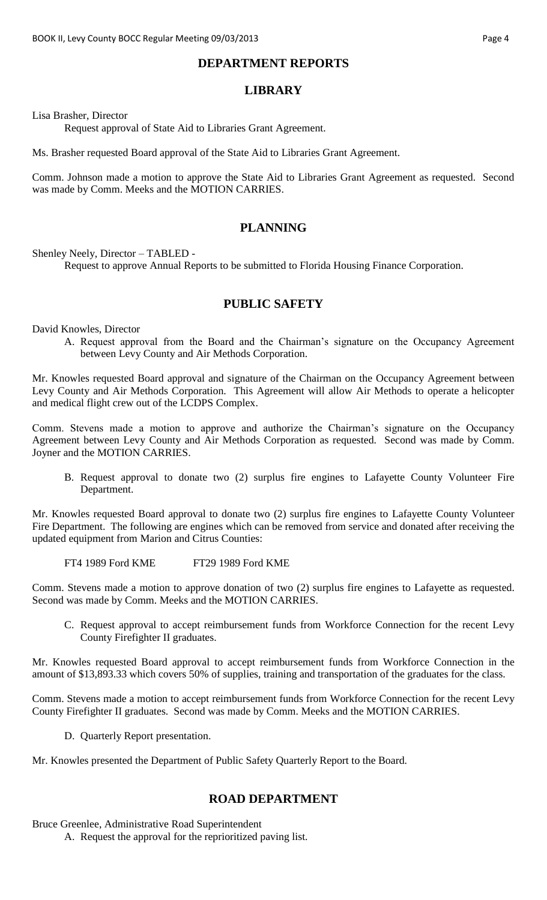#### **DEPARTMENT REPORTS**

### **LIBRARY**

Lisa Brasher, Director

Request approval of State Aid to Libraries Grant Agreement.

Ms. Brasher requested Board approval of the State Aid to Libraries Grant Agreement.

Comm. Johnson made a motion to approve the State Aid to Libraries Grant Agreement as requested. Second was made by Comm. Meeks and the MOTION CARRIES.

### **PLANNING**

Shenley Neely, Director – TABLED -

Request to approve Annual Reports to be submitted to Florida Housing Finance Corporation.

### **PUBLIC SAFETY**

David Knowles, Director

A. Request approval from the Board and the Chairman's signature on the Occupancy Agreement between Levy County and Air Methods Corporation.

Mr. Knowles requested Board approval and signature of the Chairman on the Occupancy Agreement between Levy County and Air Methods Corporation. This Agreement will allow Air Methods to operate a helicopter and medical flight crew out of the LCDPS Complex.

Comm. Stevens made a motion to approve and authorize the Chairman's signature on the Occupancy Agreement between Levy County and Air Methods Corporation as requested. Second was made by Comm. Joyner and the MOTION CARRIES.

B. Request approval to donate two (2) surplus fire engines to Lafayette County Volunteer Fire Department.

Mr. Knowles requested Board approval to donate two (2) surplus fire engines to Lafayette County Volunteer Fire Department. The following are engines which can be removed from service and donated after receiving the updated equipment from Marion and Citrus Counties:

FT4 1989 Ford KME FT29 1989 Ford KME

Comm. Stevens made a motion to approve donation of two (2) surplus fire engines to Lafayette as requested. Second was made by Comm. Meeks and the MOTION CARRIES.

C. Request approval to accept reimbursement funds from Workforce Connection for the recent Levy County Firefighter II graduates.

Mr. Knowles requested Board approval to accept reimbursement funds from Workforce Connection in the amount of \$13,893.33 which covers 50% of supplies, training and transportation of the graduates for the class.

Comm. Stevens made a motion to accept reimbursement funds from Workforce Connection for the recent Levy County Firefighter II graduates. Second was made by Comm. Meeks and the MOTION CARRIES.

D. Quarterly Report presentation.

Mr. Knowles presented the Department of Public Safety Quarterly Report to the Board.

#### **ROAD DEPARTMENT**

Bruce Greenlee, Administrative Road Superintendent

A. Request the approval for the reprioritized paving list.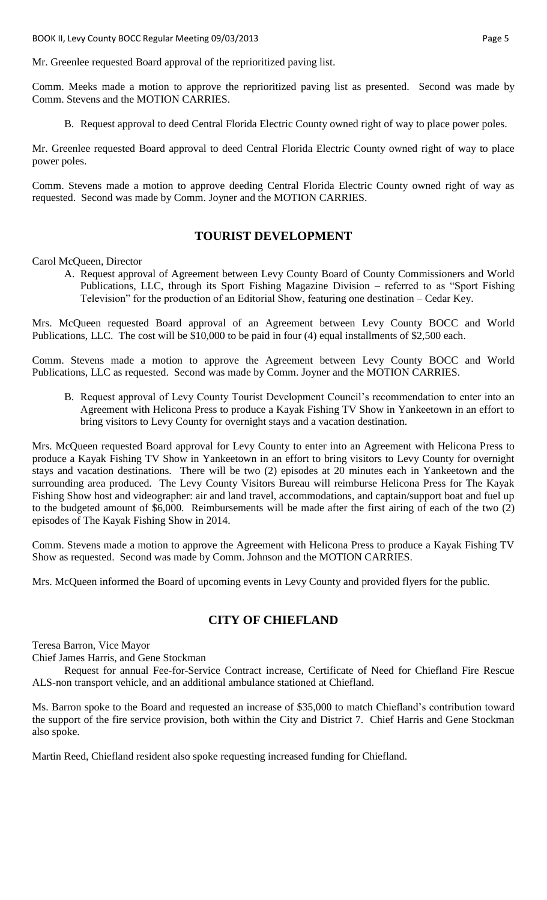Mr. Greenlee requested Board approval of the reprioritized paving list.

Comm. Meeks made a motion to approve the reprioritized paving list as presented. Second was made by Comm. Stevens and the MOTION CARRIES.

B. Request approval to deed Central Florida Electric County owned right of way to place power poles.

Mr. Greenlee requested Board approval to deed Central Florida Electric County owned right of way to place power poles.

Comm. Stevens made a motion to approve deeding Central Florida Electric County owned right of way as requested. Second was made by Comm. Joyner and the MOTION CARRIES.

#### **TOURIST DEVELOPMENT**

Carol McQueen, Director

A. Request approval of Agreement between Levy County Board of County Commissioners and World Publications, LLC, through its Sport Fishing Magazine Division – referred to as "Sport Fishing Television" for the production of an Editorial Show, featuring one destination – Cedar Key.

Mrs. McQueen requested Board approval of an Agreement between Levy County BOCC and World Publications, LLC. The cost will be \$10,000 to be paid in four (4) equal installments of \$2,500 each.

Comm. Stevens made a motion to approve the Agreement between Levy County BOCC and World Publications, LLC as requested. Second was made by Comm. Joyner and the MOTION CARRIES.

B. Request approval of Levy County Tourist Development Council's recommendation to enter into an Agreement with Helicona Press to produce a Kayak Fishing TV Show in Yankeetown in an effort to bring visitors to Levy County for overnight stays and a vacation destination.

Mrs. McQueen requested Board approval for Levy County to enter into an Agreement with Helicona Press to produce a Kayak Fishing TV Show in Yankeetown in an effort to bring visitors to Levy County for overnight stays and vacation destinations. There will be two (2) episodes at 20 minutes each in Yankeetown and the surrounding area produced. The Levy County Visitors Bureau will reimburse Helicona Press for The Kayak Fishing Show host and videographer: air and land travel, accommodations, and captain/support boat and fuel up to the budgeted amount of \$6,000. Reimbursements will be made after the first airing of each of the two (2) episodes of The Kayak Fishing Show in 2014.

Comm. Stevens made a motion to approve the Agreement with Helicona Press to produce a Kayak Fishing TV Show as requested. Second was made by Comm. Johnson and the MOTION CARRIES.

Mrs. McQueen informed the Board of upcoming events in Levy County and provided flyers for the public.

# **CITY OF CHIEFLAND**

Teresa Barron, Vice Mayor

Chief James Harris, and Gene Stockman

Request for annual Fee-for-Service Contract increase, Certificate of Need for Chiefland Fire Rescue ALS-non transport vehicle, and an additional ambulance stationed at Chiefland.

Ms. Barron spoke to the Board and requested an increase of \$35,000 to match Chiefland's contribution toward the support of the fire service provision, both within the City and District 7. Chief Harris and Gene Stockman also spoke.

Martin Reed, Chiefland resident also spoke requesting increased funding for Chiefland.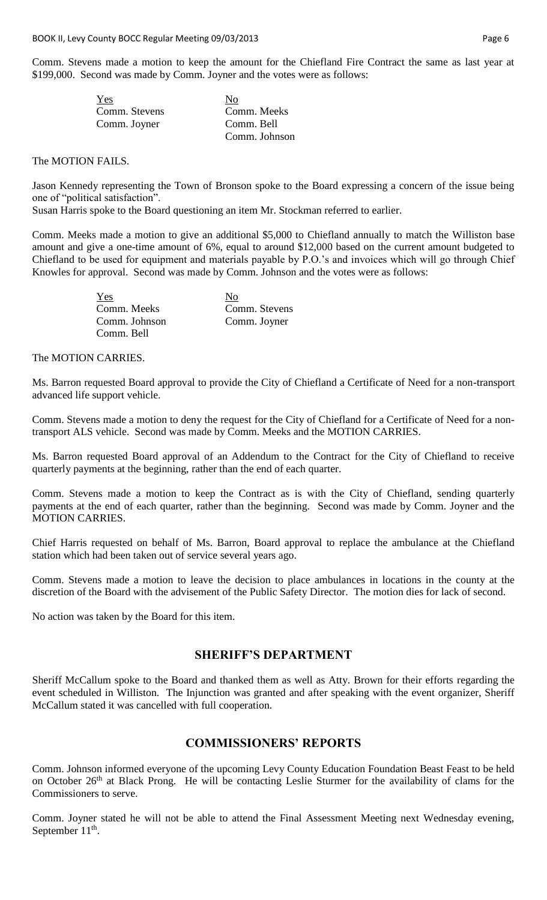Comm. Stevens made a motion to keep the amount for the Chiefland Fire Contract the same as last year at \$199,000. Second was made by Comm. Joyner and the votes were as follows:

| Yes           | No            |
|---------------|---------------|
| Comm. Stevens | Comm. Meeks   |
| Comm. Joyner  | Comm. Bell    |
|               | Comm. Johnson |

#### The MOTION FAILS.

Jason Kennedy representing the Town of Bronson spoke to the Board expressing a concern of the issue being one of "political satisfaction".

Susan Harris spoke to the Board questioning an item Mr. Stockman referred to earlier.

Comm. Meeks made a motion to give an additional \$5,000 to Chiefland annually to match the Williston base amount and give a one-time amount of 6%, equal to around \$12,000 based on the current amount budgeted to Chiefland to be used for equipment and materials payable by P.O.'s and invoices which will go through Chief Knowles for approval. Second was made by Comm. Johnson and the votes were as follows:

| Yes           | No            |
|---------------|---------------|
| Comm. Meeks   | Comm. Stevens |
| Comm. Johnson | Comm. Joyner  |
| Comm. Bell    |               |

The MOTION CARRIES.

Ms. Barron requested Board approval to provide the City of Chiefland a Certificate of Need for a non-transport advanced life support vehicle.

Comm. Stevens made a motion to deny the request for the City of Chiefland for a Certificate of Need for a nontransport ALS vehicle. Second was made by Comm. Meeks and the MOTION CARRIES.

Ms. Barron requested Board approval of an Addendum to the Contract for the City of Chiefland to receive quarterly payments at the beginning, rather than the end of each quarter.

Comm. Stevens made a motion to keep the Contract as is with the City of Chiefland, sending quarterly payments at the end of each quarter, rather than the beginning. Second was made by Comm. Joyner and the MOTION CARRIES.

Chief Harris requested on behalf of Ms. Barron, Board approval to replace the ambulance at the Chiefland station which had been taken out of service several years ago.

Comm. Stevens made a motion to leave the decision to place ambulances in locations in the county at the discretion of the Board with the advisement of the Public Safety Director. The motion dies for lack of second.

No action was taken by the Board for this item.

#### **SHERIFF'S DEPARTMENT**

Sheriff McCallum spoke to the Board and thanked them as well as Atty. Brown for their efforts regarding the event scheduled in Williston. The Injunction was granted and after speaking with the event organizer, Sheriff McCallum stated it was cancelled with full cooperation.

# **COMMISSIONERS' REPORTS**

Comm. Johnson informed everyone of the upcoming Levy County Education Foundation Beast Feast to be held on October 26<sup>th</sup> at Black Prong. He will be contacting Leslie Sturmer for the availability of clams for the Commissioners to serve.

Comm. Joyner stated he will not be able to attend the Final Assessment Meeting next Wednesday evening, September  $11^{\text{th}}$ .